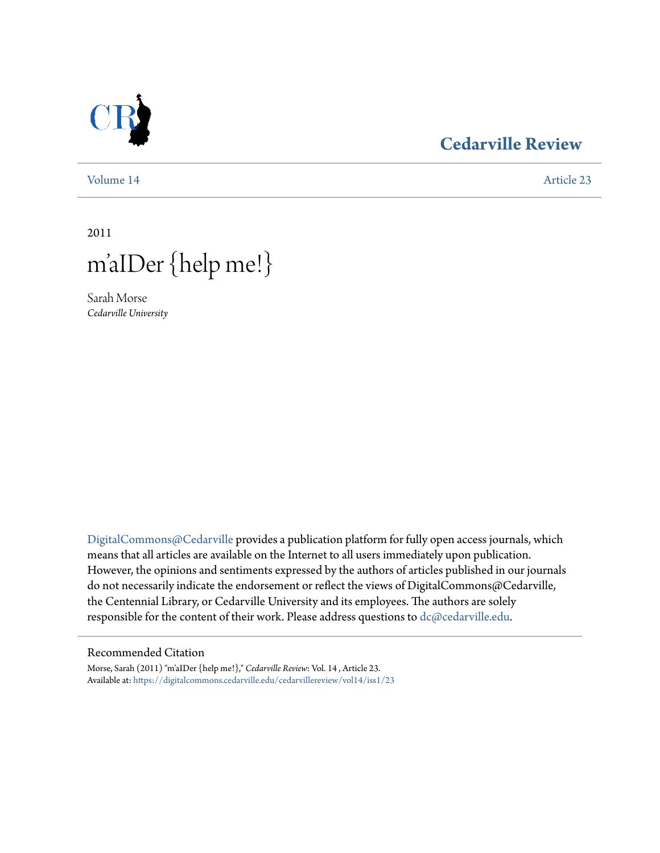

## **[Cedarville Review](https://digitalcommons.cedarville.edu/cedarvillereview?utm_source=digitalcommons.cedarville.edu%2Fcedarvillereview%2Fvol14%2Fiss1%2F23&utm_medium=PDF&utm_campaign=PDFCoverPages)**

[Volume 14](https://digitalcommons.cedarville.edu/cedarvillereview/vol14?utm_source=digitalcommons.cedarville.edu%2Fcedarvillereview%2Fvol14%2Fiss1%2F23&utm_medium=PDF&utm_campaign=PDFCoverPages) [Article 23](https://digitalcommons.cedarville.edu/cedarvillereview/vol14/iss1/23?utm_source=digitalcommons.cedarville.edu%2Fcedarvillereview%2Fvol14%2Fiss1%2F23&utm_medium=PDF&utm_campaign=PDFCoverPages)

2011



Sarah Morse *Cedarville University*

[DigitalCommons@Cedarville](http://digitalcommons.cedarville.edu) provides a publication platform for fully open access journals, which means that all articles are available on the Internet to all users immediately upon publication. However, the opinions and sentiments expressed by the authors of articles published in our journals do not necessarily indicate the endorsement or reflect the views of DigitalCommons@Cedarville, the Centennial Library, or Cedarville University and its employees. The authors are solely responsible for the content of their work. Please address questions to [dc@cedarville.edu](mailto:dc@cedarville.edu).

#### Recommended Citation

Morse, Sarah (2011) "m'aIDer {help me!}," *Cedarville Review*: Vol. 14 , Article 23. Available at: [https://digitalcommons.cedarville.edu/cedarvillereview/vol14/iss1/23](https://digitalcommons.cedarville.edu/cedarvillereview/vol14/iss1/23?utm_source=digitalcommons.cedarville.edu%2Fcedarvillereview%2Fvol14%2Fiss1%2F23&utm_medium=PDF&utm_campaign=PDFCoverPages)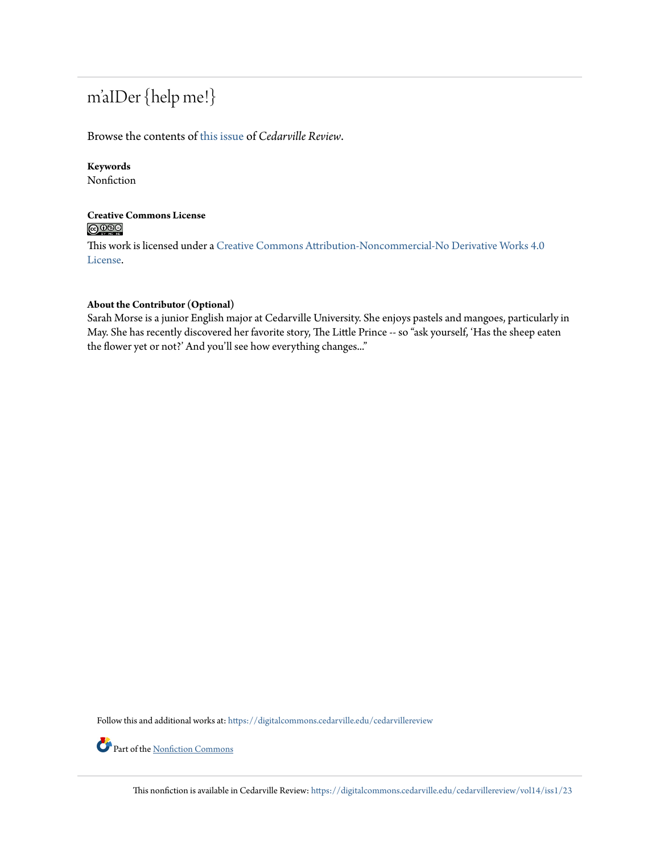# m'aIDer {help me!}

#### Browse the contents of [this issue](https://digitalcommons.cedarville.edu/cedarvillereview/vol14/iss1) of *Cedarville Review*.

## **Keywords**

Nonfiction

#### **Creative Commons License**  $\bigcirc$   $\circ$

This work is licensed under a [Creative Commons Attribution-Noncommercial-No Derivative Works 4.0](http://creativecommons.org/licenses/by-nc-nd/4.0/) [License.](http://creativecommons.org/licenses/by-nc-nd/4.0/)

#### **About the Contributor (Optional)**

Sarah Morse is a junior English major at Cedarville University. She enjoys pastels and mangoes, particularly in May. She has recently discovered her favorite story, The Little Prince -- so "ask yourself, 'Has the sheep eaten the flower yet or not?' And you'll see how everything changes..."

Follow this and additional works at: [https://digitalcommons.cedarville.edu/cedarvillereview](https://digitalcommons.cedarville.edu/cedarvillereview?utm_source=digitalcommons.cedarville.edu%2Fcedarvillereview%2Fvol14%2Fiss1%2F23&utm_medium=PDF&utm_campaign=PDFCoverPages)

Part of the [Nonfiction Commons](http://network.bepress.com/hgg/discipline/1152?utm_source=digitalcommons.cedarville.edu%2Fcedarvillereview%2Fvol14%2Fiss1%2F23&utm_medium=PDF&utm_campaign=PDFCoverPages)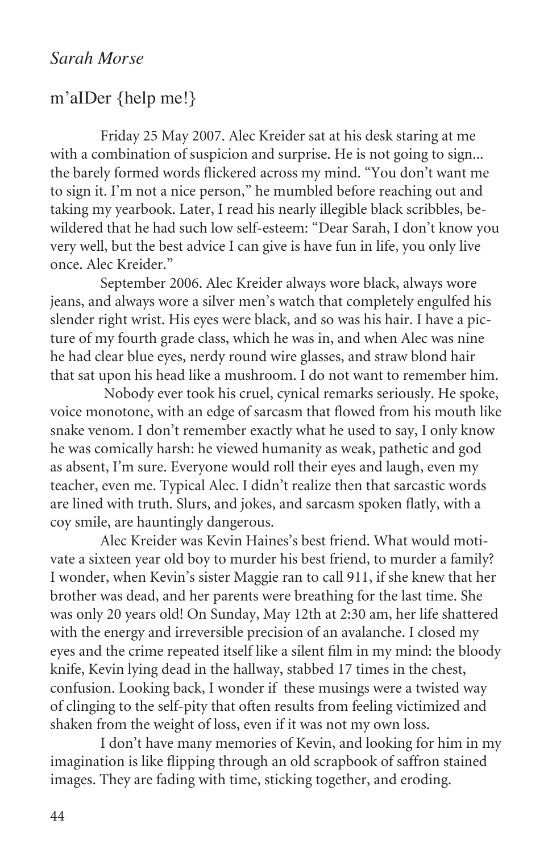## *Sarah Morse*

### m'aIDer {help me!}

Friday 25 May 2007. Alec Kreider sat at his desk staring at me with a combination of suspicion and surprise. He is not going to sign... the barely formed words flickered across my mind. "You don't want me to sign it. I'm not a nice person," he mumbled before reaching out and taking my yearbook. Later, I read his nearly illegible black scribbles, bewildered that he had such low self-esteem: "Dear Sarah, I don't know you very well, but the best advice I can give is have fun in life, you only live once. Alec Kreider."

September 2006. Alec Kreider always wore black, always wore jeans, and always wore a silver men's watch that completely engulfed his slender right wrist. His eyes were black, and so was his hair. I have a picture of my fourth grade class, which he was in, and when Alec was nine he had clear blue eyes, nerdy round wire glasses, and straw blond hair that sat upon his head like a mushroom. I do not want to remember him.

 Nobody ever took his cruel, cynical remarks seriously. He spoke, voice monotone, with an edge of sarcasm that flowed from his mouth like snake venom. I don't remember exactly what he used to say, I only know he was comically harsh: he viewed humanity as weak, pathetic and god as absent, I'm sure. Everyone would roll their eyes and laugh, even my teacher, even me. Typical Alec. I didn't realize then that sarcastic words are lined with truth. Slurs, and jokes, and sarcasm spoken flatly, with a coy smile, are hauntingly dangerous.

Alec Kreider was Kevin Haines's best friend. What would motivate a sixteen year old boy to murder his best friend, to murder a family? I wonder, when Kevin's sister Maggie ran to call 911, if she knew that her brother was dead, and her parents were breathing for the last time. She was only 20 years old! On Sunday, May 12th at 2:30 am, her life shattered with the energy and irreversible precision of an avalanche. I closed my eyes and the crime repeated itself like a silent film in my mind: the bloody knife, Kevin lying dead in the hallway, stabbed 17 times in the chest, confusion. Looking back, I wonder if these musings were a twisted way of clinging to the self-pity that often results from feeling victimized and shaken from the weight of loss, even if it was not my own loss.

I don't have many memories of Kevin, and looking for him in my imagination is like flipping through an old scrapbook of saffron stained images. They are fading with time, sticking together, and eroding.